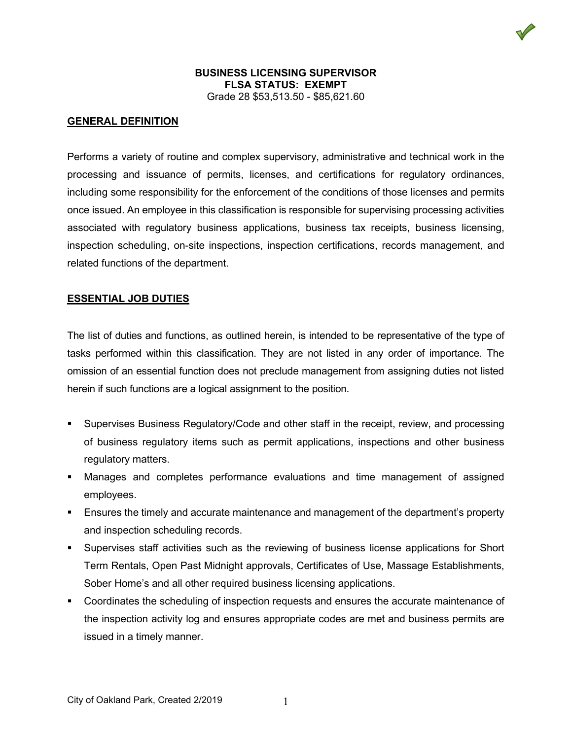### **GENERAL DEFINITION**

Performs a variety of routine and complex supervisory, administrative and technical work in the processing and issuance of permits, licenses, and certifications for regulatory ordinances, including some responsibility for the enforcement of the conditions of those licenses and permits once issued. An employee in this classification is responsible for supervising processing activities associated with regulatory business applications, business tax receipts, business licensing, inspection scheduling, on-site inspections, inspection certifications, records management, and related functions of the department.

#### **ESSENTIAL JOB DUTIES**

The list of duties and functions, as outlined herein, is intended to be representative of the type of tasks performed within this classification. They are not listed in any order of importance. The omission of an essential function does not preclude management from assigning duties not listed herein if such functions are a logical assignment to the position.

- Supervises Business Regulatory/Code and other staff in the receipt, review, and processing of business regulatory items such as permit applications, inspections and other business regulatory matters.
- Manages and completes performance evaluations and time management of assigned employees.
- **Ensures the timely and accurate maintenance and management of the department's property** and inspection scheduling records.
- Supervises staff activities such as the reviewing of business license applications for Short Term Rentals, Open Past Midnight approvals, Certificates of Use, Massage Establishments, Sober Home's and all other required business licensing applications.
- Coordinates the scheduling of inspection requests and ensures the accurate maintenance of the inspection activity log and ensures appropriate codes are met and business permits are issued in a timely manner.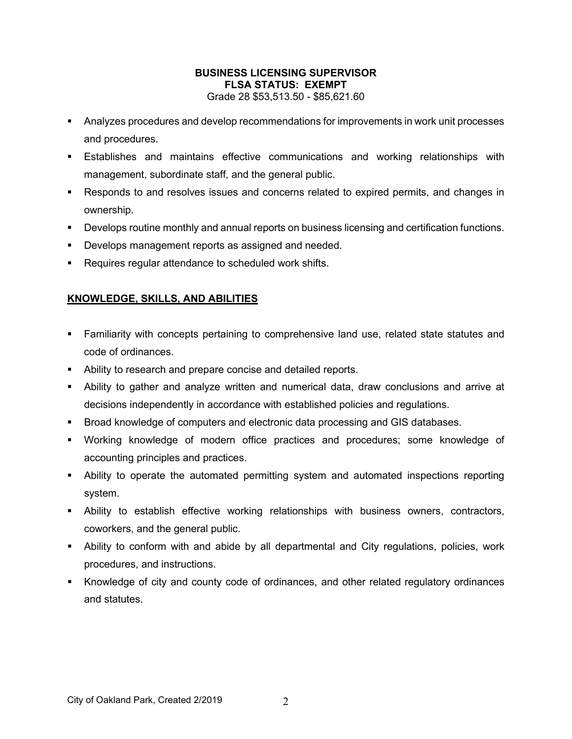- Analyzes procedures and develop recommendations for improvements in work unit processes and procedures.
- Establishes and maintains effective communications and working relationships with management, subordinate staff, and the general public.
- Responds to and resolves issues and concerns related to expired permits, and changes in ownership.
- **Develops routine monthly and annual reports on business licensing and certification functions.**
- **Develops management reports as assigned and needed.**
- **Requires regular attendance to scheduled work shifts.**

# **KNOWLEDGE, SKILLS, AND ABILITIES**

- Familiarity with concepts pertaining to comprehensive land use, related state statutes and code of ordinances.
- **-** Ability to research and prepare concise and detailed reports.
- Ability to gather and analyze written and numerical data, draw conclusions and arrive at decisions independently in accordance with established policies and regulations.
- Broad knowledge of computers and electronic data processing and GIS databases.
- Working knowledge of modern office practices and procedures; some knowledge of accounting principles and practices.
- Ability to operate the automated permitting system and automated inspections reporting system.
- Ability to establish effective working relationships with business owners, contractors, coworkers, and the general public.
- Ability to conform with and abide by all departmental and City regulations, policies, work procedures, and instructions.
- Knowledge of city and county code of ordinances, and other related regulatory ordinances and statutes.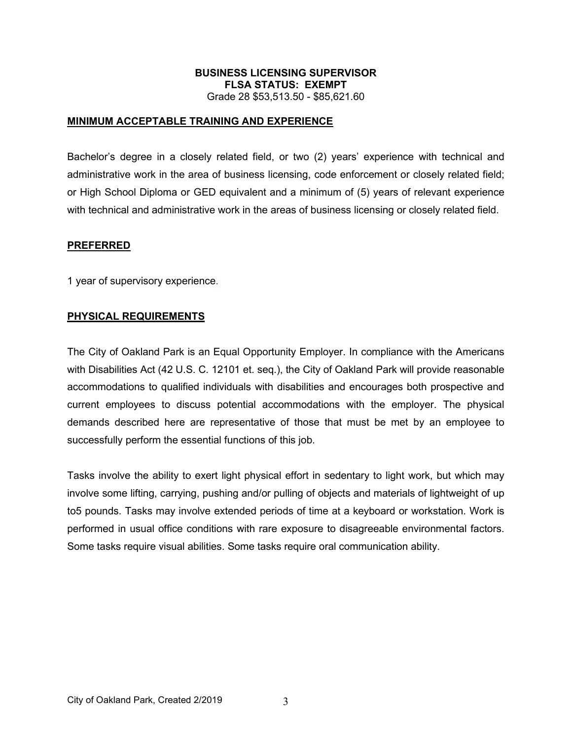### **MINIMUM ACCEPTABLE TRAINING AND EXPERIENCE**

Bachelor's degree in a closely related field, or two (2) years' experience with technical and administrative work in the area of business licensing, code enforcement or closely related field; or High School Diploma or GED equivalent and a minimum of (5) years of relevant experience with technical and administrative work in the areas of business licensing or closely related field.

#### **PREFERRED**

1 year of supervisory experience.

#### **PHYSICAL REQUIREMENTS**

The City of Oakland Park is an Equal Opportunity Employer. In compliance with the Americans with Disabilities Act (42 U.S. C. 12101 et. seq.), the City of Oakland Park will provide reasonable accommodations to qualified individuals with disabilities and encourages both prospective and current employees to discuss potential accommodations with the employer. The physical demands described here are representative of those that must be met by an employee to successfully perform the essential functions of this job.

Tasks involve the ability to exert light physical effort in sedentary to light work, but which may involve some lifting, carrying, pushing and/or pulling of objects and materials of lightweight of up to5 pounds. Tasks may involve extended periods of time at a keyboard or workstation. Work is performed in usual office conditions with rare exposure to disagreeable environmental factors. Some tasks require visual abilities. Some tasks require oral communication ability.